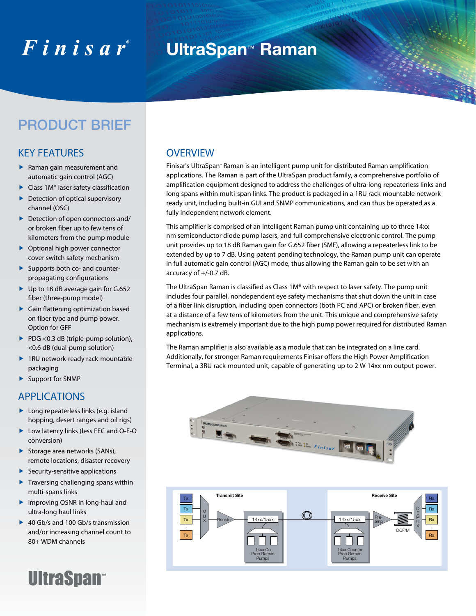# $F$ inisar

# **UltraSpan**™ **Raman**

## PRODUCT BRIEF

#### KEY FEATURES

- Raman gain measurement and automatic gain control (AGC)
- Class 1M\* laser safety classification
- $\blacktriangleright$  Detection of optical supervisory channel (OSC)
- Detection of open connectors and/ or broken fiber up to few tens of kilometers from the pump module
- ▶ Optional high power connector cover switch safety mechanism
- ▶ Supports both co- and counterpropagating configurations
- ▶ Up to 18 dB average gain for G.652 fiber (three-pump model)
- Gain flattening optimization based on fiber type and pump power. Option for GFF
- ▶ PDG <0.3 dB (triple-pump solution), <0.6 dB (dual-pump solution)
- ▶ 1RU network-ready rack-mountable packaging
- Support for SNMP

#### **APPLICATIONS**

- ▶ Long repeaterless links (e.g. island hopping, desert ranges and oil rigs)
- ▶ Low latency links (less FEC and O-E-O conversion)
- Storage area networks (SANs), remote locations, disaster recovery
- $\blacktriangleright$  Security-sensitive applications
- $\blacktriangleright$  Traversing challenging spans within multi-spans links
- ▶ Improving OSNR in long-haul and ultra-long haul links
- ▶ 40 Gb/s and 100 Gb/s transmission and/or increasing channel count to 80+ WDM channels



#### **OVERVIEW**

Finisar's UltraSpan™ Raman is an intelligent pump unit for distributed Raman amplification applications. The Raman is part of the UltraSpan product family, a comprehensive portfolio of amplification equipment designed to address the challenges of ultra-long repeaterless links and long spans within multi-span links. The product is packaged in a 1RU rack-mountable networkready unit, including built-in GUI and SNMP communications, and can thus be operated as a fully independent network element.

This amplifier is comprised of an intelligent Raman pump unit containing up to three 14xx nm semiconductor diode pump lasers, and full comprehensive electronic control. The pump unit provides up to 18 dB Raman gain for G.652 fiber (SMF), allowing a repeaterless link to be extended by up to 7 dB. Using patent pending technology, the Raman pump unit can operate in full automatic gain control (AGC) mode, thus allowing the Raman gain to be set with an accuracy of +/-0.7 dB.

The UltraSpan Raman is classified as Class 1M\* with respect to laser safety. The pump unit includes four parallel, nondependent eye safety mechanisms that shut down the unit in case of a fiber link disruption, including open connectors (both PC and APC) or broken fiber, even at a distance of a few tens of kilometers from the unit. This unique and comprehensive safety mechanism is extremely important due to the high pump power required for distributed Raman applications.

The Raman amplifier is also available as a module that can be integrated on a line card. Additionally, for stronger Raman requirements Finisar offers the High Power Amplification Terminal, a 3RU rack-mounted unit, capable of generating up to 2 W 14xx nm output power.



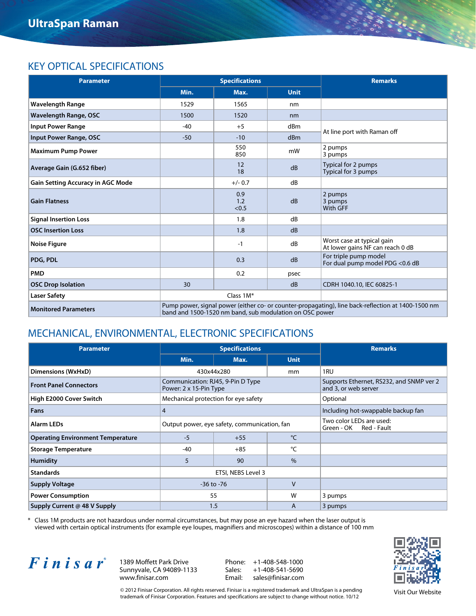#### Key Optical Specifications

| <b>Parameter</b>                         |                                                                                                                                                               | <b>Specifications</b> | <b>Remarks</b> |                                                                |  |  |
|------------------------------------------|---------------------------------------------------------------------------------------------------------------------------------------------------------------|-----------------------|----------------|----------------------------------------------------------------|--|--|
|                                          | Min.                                                                                                                                                          | Max.                  | <b>Unit</b>    |                                                                |  |  |
| <b>Wavelength Range</b>                  | 1529                                                                                                                                                          | 1565                  | nm             |                                                                |  |  |
| <b>Wavelength Range, OSC</b>             | 1500                                                                                                                                                          | 1520                  | nm             |                                                                |  |  |
| <b>Input Power Range</b>                 | $-40$                                                                                                                                                         | $+5$                  | dBm            | At line port with Raman off                                    |  |  |
| <b>Input Power Range, OSC</b>            | $-50$                                                                                                                                                         | $-10$                 | dBm            |                                                                |  |  |
| <b>Maximum Pump Power</b>                |                                                                                                                                                               | 550<br>850            | mW             | 2 pumps<br>3 pumps                                             |  |  |
| Average Gain (G.652 fiber)               |                                                                                                                                                               | 12<br>18              | dB             | Typical for 2 pumps<br>Typical for 3 pumps                     |  |  |
| <b>Gain Setting Accuracy in AGC Mode</b> |                                                                                                                                                               | $+/- 0.7$             | dB             |                                                                |  |  |
| <b>Gain Flatness</b>                     |                                                                                                                                                               | 0.9<br>1.2<br>< 0.5   | dB             | 2 pumps<br>3 pumps<br><b>With GFF</b>                          |  |  |
| <b>Signal Insertion Loss</b>             |                                                                                                                                                               | 1.8                   | dB             |                                                                |  |  |
| <b>OSC Insertion Loss</b>                |                                                                                                                                                               | 1.8                   | dB             |                                                                |  |  |
| <b>Noise Figure</b>                      |                                                                                                                                                               | $-1$                  | dB             | Worst case at typical gain<br>At lower gains NF can reach 0 dB |  |  |
| PDG, PDL                                 |                                                                                                                                                               | 0.3                   | dB             | For triple pump model<br>For dual pump model PDG <0.6 dB       |  |  |
| <b>PMD</b>                               |                                                                                                                                                               | 0.2                   | psec           |                                                                |  |  |
| <b>OSC Drop Isolation</b>                | 30                                                                                                                                                            |                       | dB             | CDRH 1040.10, IEC 60825-1                                      |  |  |
| <b>Laser Safety</b>                      |                                                                                                                                                               | Class 1M*             |                |                                                                |  |  |
| <b>Monitored Parameters</b>              | Pump power, signal power (either co- or counter-propagating), line back-reflection at 1400-1500 nm<br>band and 1500-1520 nm band, sub modulation on OSC power |                       |                |                                                                |  |  |

#### Mechanical, Environmental, Electronic Specifications

| <b>Parameter</b>                         |                                                             | <b>Specifications</b>                        | <b>Remarks</b>                                                   |         |
|------------------------------------------|-------------------------------------------------------------|----------------------------------------------|------------------------------------------------------------------|---------|
|                                          | Min.                                                        | Max.                                         | <b>Unit</b>                                                      |         |
| <b>Dimensions (WxHxD)</b>                | 430x44x280<br>mm                                            |                                              |                                                                  | 1RU     |
| <b>Front Panel Connectors</b>            | Communication: RJ45, 9-Pin D Type<br>Power: 2 x 15-Pin Type |                                              | Supports Ethernet, RS232, and SNMP ver 2<br>and 3, or web server |         |
| High E2000 Cover Switch                  | Mechanical protection for eye safety                        |                                              | Optional                                                         |         |
| Fans                                     | 4                                                           |                                              | Including hot-swappable backup fan                               |         |
| <b>Alarm LEDs</b>                        |                                                             | Output power, eye safety, communication, fan | Two color LEDs are used:<br>Green - OK Red - Fault               |         |
| <b>Operating Environment Temperature</b> | $-5$                                                        | $+55$                                        | °C                                                               |         |
| <b>Storage Temperature</b>               | $-40$                                                       | $+85$                                        | °C                                                               |         |
| <b>Humidity</b>                          | 5                                                           | 90                                           | $\frac{0}{6}$                                                    |         |
| <b>Standards</b>                         |                                                             | ETSI, NEBS Level 3                           |                                                                  |         |
| <b>Supply Voltage</b>                    | $-36$ to $-76$                                              |                                              | V                                                                |         |
| <b>Power Consumption</b>                 | 55                                                          |                                              | W                                                                | 3 pumps |
| Supply Current @ 48 V Supply             | 1.5                                                         |                                              | A                                                                | 3 pumps |

\* Class 1M products are not hazardous under normal circumstances, but may pose an eye hazard when the laser output is viewed with certain optical instruments (for example eye loupes, magnifiers and microscopes) within a distance of 100 mm



1389 Moffett Park Drive Sunnyvale, CA 94089-1133 www.finisar.com

Phone: +1-408-548-1000 Sales: +1-408-541-5690<br>Email: sales@finisar.com sales@finisar.com



© 2012 Finisar Corporation. All rights reserved. Finisar is a registered trademark and UltraSpan is a pending trademark of Finisar Corporation. Features and specifications are subject to change without notice. 10/12

Visit Our Website